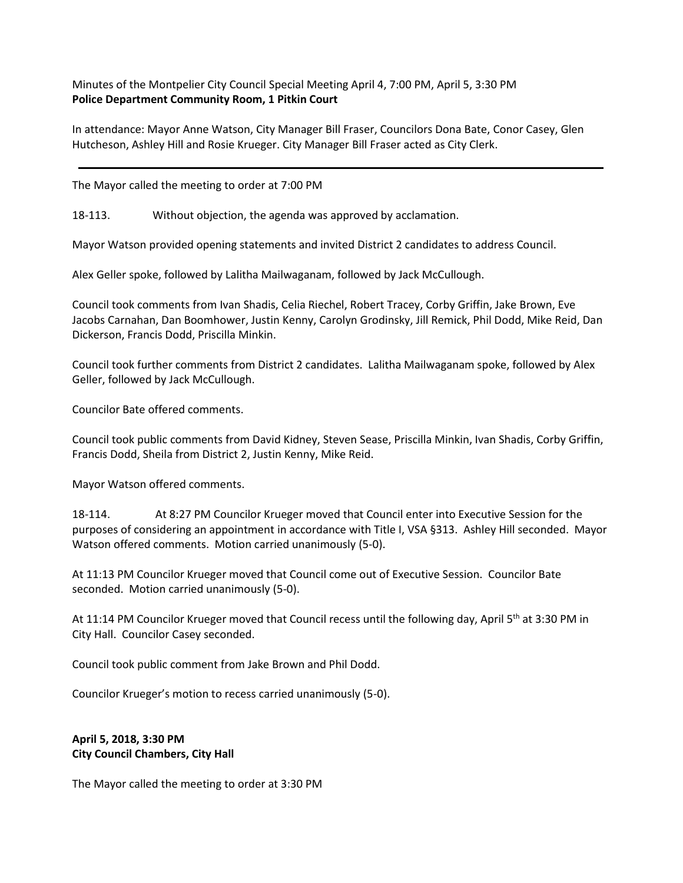Minutes of the Montpelier City Council Special Meeting April 4, 7:00 PM, April 5, 3:30 PM **Police Department Community Room, 1 Pitkin Court**

In attendance: Mayor Anne Watson, City Manager Bill Fraser, Councilors Dona Bate, Conor Casey, Glen Hutcheson, Ashley Hill and Rosie Krueger. City Manager Bill Fraser acted as City Clerk.

The Mayor called the meeting to order at 7:00 PM

18-113. Without objection, the agenda was approved by acclamation.

Mayor Watson provided opening statements and invited District 2 candidates to address Council.

Alex Geller spoke, followed by Lalitha Mailwaganam, followed by Jack McCullough.

Council took comments from Ivan Shadis, Celia Riechel, Robert Tracey, Corby Griffin, Jake Brown, Eve Jacobs Carnahan, Dan Boomhower, Justin Kenny, Carolyn Grodinsky, Jill Remick, Phil Dodd, Mike Reid, Dan Dickerson, Francis Dodd, Priscilla Minkin.

Council took further comments from District 2 candidates. Lalitha Mailwaganam spoke, followed by Alex Geller, followed by Jack McCullough.

Councilor Bate offered comments.

Council took public comments from David Kidney, Steven Sease, Priscilla Minkin, Ivan Shadis, Corby Griffin, Francis Dodd, Sheila from District 2, Justin Kenny, Mike Reid.

Mayor Watson offered comments.

18-114. At 8:27 PM Councilor Krueger moved that Council enter into Executive Session for the purposes of considering an appointment in accordance with Title I, VSA §313. Ashley Hill seconded. Mayor Watson offered comments. Motion carried unanimously (5-0).

At 11:13 PM Councilor Krueger moved that Council come out of Executive Session. Councilor Bate seconded. Motion carried unanimously (5-0).

At 11:14 PM Councilor Krueger moved that Council recess until the following day, April 5<sup>th</sup> at 3:30 PM in City Hall. Councilor Casey seconded.

Council took public comment from Jake Brown and Phil Dodd.

Councilor Krueger's motion to recess carried unanimously (5-0).

**April 5, 2018, 3:30 PM City Council Chambers, City Hall**

The Mayor called the meeting to order at 3:30 PM